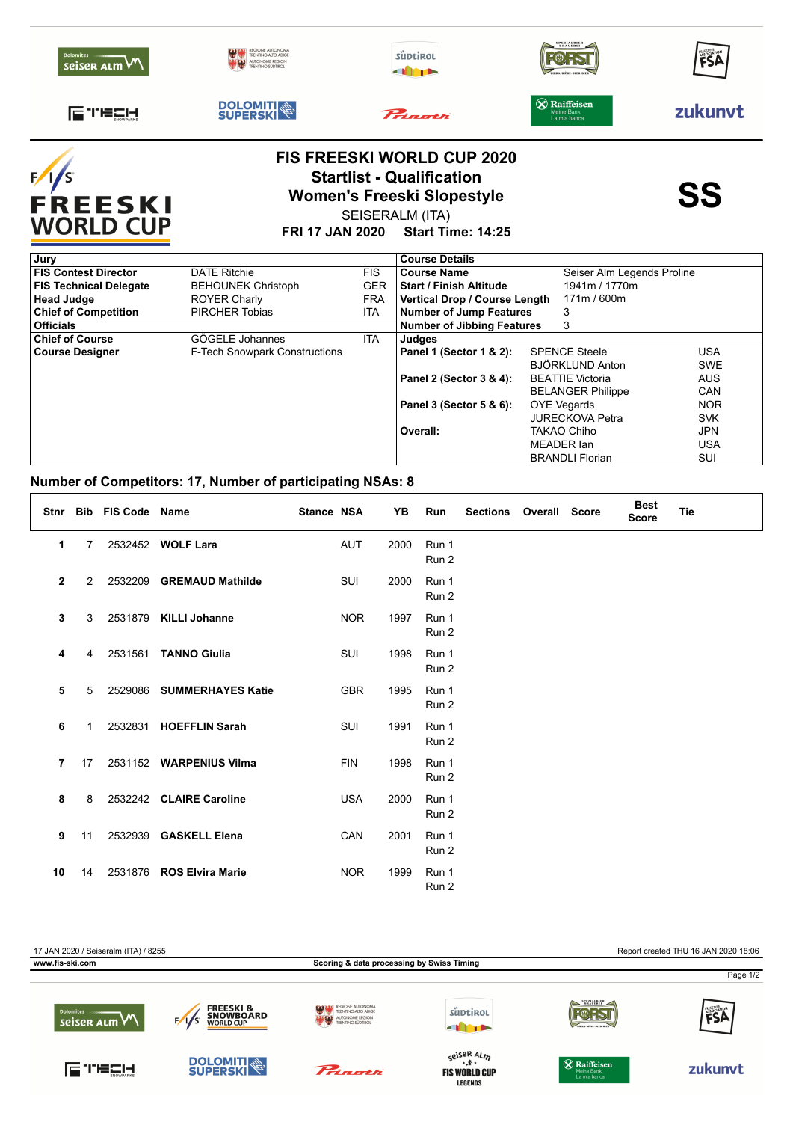|                                   |                                                                          | <b>FIS FREESKI WORLD CUP 2020</b> |                                                   |         |
|-----------------------------------|--------------------------------------------------------------------------|-----------------------------------|---------------------------------------------------|---------|
| 급 TECH<br><b>SNOWPARKS</b>        | <b>DOLOMITI</b>                                                          | Princetti                         | X Raiffeisen<br>Meine Bank<br>La mia banca        | zukunyt |
| <b>Dolomites</b><br>seiser alm VV | REGIONE AUTONOMA<br>TRENTINO-ALTO ADIGE<br><b>AN END</b> AUTONOME REGION | süptirol<br>$\blacksquare$        | SPEZIALBIER-<br>BRAUEREI<br>BIRRA-BIÈRE-BEER-BIER | FSA     |



## **FIS FREESKI WORLD CUP 2020 Startlist - Qualification<br>
Women's Freeski Slopestyle<br>
SS** SEISERALM (ITA)

**FRI 17 JAN 2020 Start Time: 14:25**

| Jury                          |                               |            | <b>Course Details</b>                            |                          |            |  |
|-------------------------------|-------------------------------|------------|--------------------------------------------------|--------------------------|------------|--|
| <b>FIS Contest Director</b>   | <b>DATE Ritchie</b>           | <b>FIS</b> | Seiser Alm Legends Proline<br><b>Course Name</b> |                          |            |  |
| <b>FIS Technical Delegate</b> | <b>BEHOUNEK Christoph</b>     | <b>GER</b> | <b>Start / Finish Altitude</b>                   | 1941m / 1770m            |            |  |
| <b>Head Judge</b>             | <b>ROYER Charly</b>           | <b>FRA</b> | Vertical Drop / Course Length                    | 171m / 600m              |            |  |
| <b>Chief of Competition</b>   | <b>PIRCHER Tobias</b>         | ITA        | <b>Number of Jump Features</b>                   | 3                        |            |  |
| <b>Officials</b>              |                               |            | <b>Number of Jibbing Features</b>                | 3                        |            |  |
| <b>Chief of Course</b>        | GÖGELE Johannes               | ITA.       | Judges                                           |                          |            |  |
| <b>Course Designer</b>        | F-Tech Snowpark Constructions |            | Panel 1 (Sector 1 & 2):                          | <b>SPENCE Steele</b>     | <b>USA</b> |  |
|                               |                               |            |                                                  | <b>BJÖRKLUND Anton</b>   | <b>SWE</b> |  |
|                               |                               |            | Panel 2 (Sector 3 & 4):                          | <b>BEATTIE Victoria</b>  | <b>AUS</b> |  |
|                               |                               |            |                                                  | <b>BELANGER Philippe</b> | <b>CAN</b> |  |
|                               |                               |            | Panel 3 (Sector 5 & 6):                          | OYE Vegards              | <b>NOR</b> |  |
|                               |                               |            |                                                  | <b>JURECKOVA Petra</b>   | <b>SVK</b> |  |
|                               |                               |            | Overall:                                         | TAKAO Chiho              | <b>JPN</b> |  |
|                               |                               |            |                                                  | MEADER Ian               | USA        |  |
|                               |                               |            |                                                  | <b>BRANDLI Florian</b>   | SUI        |  |

## **Number of Competitors: 17, Number of participating NSAs: 8**

|              |    | Stnr Bib FIS Code Name |                           | <b>Stance NSA</b> |            | YB   | Run            | <b>Sections</b> | <b>Overall Score</b> | <b>Best</b><br><b>Score</b> | <b>Tie</b> |
|--------------|----|------------------------|---------------------------|-------------------|------------|------|----------------|-----------------|----------------------|-----------------------------|------------|
| 1            | 7  |                        | 2532452 WOLF Lara         |                   | <b>AUT</b> | 2000 | Run 1<br>Run 2 |                 |                      |                             |            |
| $\mathbf{2}$ | 2  | 2532209                | <b>GREMAUD Mathilde</b>   |                   | <b>SUI</b> | 2000 | Run 1<br>Run 2 |                 |                      |                             |            |
| 3            | 3  |                        | 2531879 KILLI Johanne     |                   | <b>NOR</b> | 1997 | Run 1<br>Run 2 |                 |                      |                             |            |
| 4            | 4  | 2531561                | <b>TANNO Giulia</b>       |                   | <b>SUI</b> | 1998 | Run 1<br>Run 2 |                 |                      |                             |            |
| 5            | 5  |                        | 2529086 SUMMERHAYES Katie |                   | <b>GBR</b> | 1995 | Run 1<br>Run 2 |                 |                      |                             |            |
| 6            | 1  |                        | 2532831 HOEFFLIN Sarah    |                   | SUI        | 1991 | Run 1<br>Run 2 |                 |                      |                             |            |
| 7            | 17 |                        | 2531152 WARPENIUS Vilma   |                   | <b>FIN</b> | 1998 | Run 1<br>Run 2 |                 |                      |                             |            |
| 8            | 8  |                        | 2532242 CLAIRE Caroline   |                   | <b>USA</b> | 2000 | Run 1<br>Run 2 |                 |                      |                             |            |
| 9            | 11 | 2532939                | <b>GASKELL Elena</b>      |                   | CAN        | 2001 | Run 1<br>Run 2 |                 |                      |                             |            |
| 10           | 14 | 2531876                | <b>ROS Elvira Marie</b>   |                   | <b>NOR</b> | 1999 | Run 1<br>Run 2 |                 |                      |                             |            |